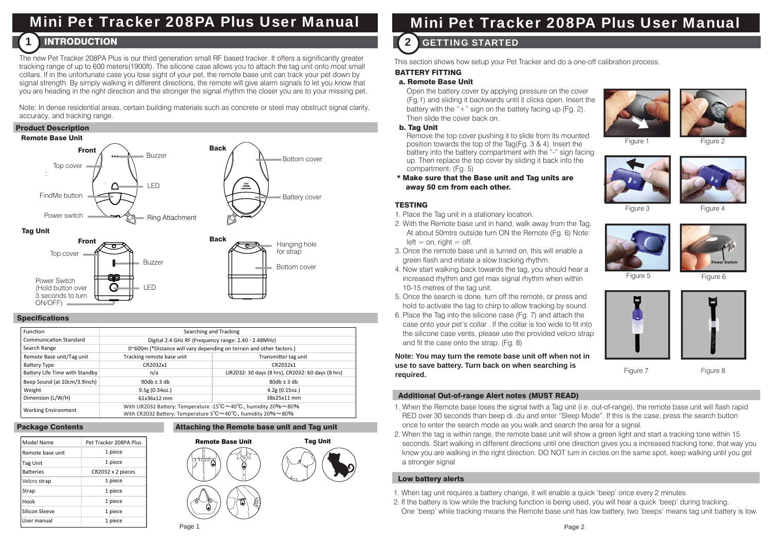# Mini Pet Tracker 208PA Plus User Manual

#### **INTRODUCTION** 1

The new Pet Tracker 208PA Plus is our third generation small RF based tracker. It offers a significantly greater tracking range of up to 600 meters(1900ft). The silicone case allows you to attach the tag unit onto most small collars. If in the unfortunate case you lose sight of your pet, the remote base unit can track your pet down by signal strength. By simply walking in different directions, the remote will give alarm signals to let you know that you are heading in the right direction and the stronger the signal rhythm the closer you are to your missing pet.

Note: In dense residential areas, certain building materials such as concrete or steel may obstruct signal clarity, accuracy, and tracking range.

#### Product Description



LED

#### **Specifications**

Power Switch (Hold button over 3 seconds to turnON/OFF)

| Function                       | Searching and Tracking                                                                                                                               |                                                   |
|--------------------------------|------------------------------------------------------------------------------------------------------------------------------------------------------|---------------------------------------------------|
| <b>Communication Standard</b>  | Digital 2.4 GHz RF (Frequency range: 2.40 - 2.48MHz)                                                                                                 |                                                   |
| Search Range                   | 0~600m (*Distance will vary depending on terrain and other factors.)                                                                                 |                                                   |
| Remote Base unit/Tag unit      | Tracking remote base unit                                                                                                                            | Transmitter tag unit                              |
| <b>Battery Type</b>            | CR2032x1                                                                                                                                             | CR2032x1                                          |
| Battery Life Time with Standby | n/a                                                                                                                                                  | LIR2032: 30 days (8 hrs), CR2032: 60 days (8 hrs) |
| Beep Sound (at 10cm/3.9inch)   | $90db + 3db$                                                                                                                                         | $80db + 3db$                                      |
| Weight                         | 9.5g(0.34oz.)                                                                                                                                        | 4.2g(0.15oz.)                                     |
| Dimension (L/W/H)              | 61x36x12 mm                                                                                                                                          | 38x25x11 mm                                       |
| <b>Working Environment</b>     | With LIR2032 Battery: Temperature -15°C~40°C, humidity 20%~80%<br>With CR2032 Battery: Temperature $5^{\circ}$ C ~40 $^{\circ}$ C, humidity 20% ~80% |                                                   |

#### Package Contents

| Model Name       | Pet Tracker 208PA Plus |
|------------------|------------------------|
| Remote base unit | 1 piece                |
| Tag Unit         | 1 piece                |
| <b>Batteries</b> | CR2032 x 2 pieces      |
| Velcro strap     | 1 piece                |
| Strap            | 1 piece                |
| Hook             | 1 piece                |
| Silicon Sleeve   | 1 piece                |
| User manual      | 1 piece                |

## Attaching the Remote base unit and Tag unit Remote Base Unit



# Mini Pet Tracker 208PA Plus User Manual

## 2 GETTING STARTED

This section shows how setup your Pet Tracker and do a one-off calibration process.

#### BATTERY FITTING

#### a. Remote Base Unit

 Open the battery cover by applying pressure on the cover (Fg.1) and sliding it backwards until it clicks open. Insert the battery with the " $+$ " sign on the battery facing up (Fg. 2). Then slide the cover back on.

#### b. Tag Unit

 Remove the top cover pushing it to slide from its mounted position towards the top of the Tag(Fg. 3 & 4). Insert the battery into the battery compartment with the "-" sign facing up. Then replace the top cover by sliding it back into the compartment. (Fg. 5)

\* Make sure that the Base unit and Tag units are away 50 cm from each other.

## **TESTING**

- 1. Place the Tag unit in a stationary location.
- 2. With the Remote base unit in hand, walk away from the Tag. At about 50mtrs outside turn ON the Remote (Fg. 6) Note:  $left = on$  right  $=$  off.
- 3. Once the remote base unit is turned on, this will enable a green flash and initiate a slow tracking rhythm.
- 4. Now start walking back towards the tag, you should hear a increased rhythm and get max signal rhythm when within 10-15 metres of the tag unit.
- 5. Once the search is done, turn off the remote, or press and hold to activate the tag to chirp to allow tracking by sound.
- 6. Place the Tag into the silicone case (Fg. 7) and attach the case onto your pet's collar . If the collar is too wide to fit into the silicone case vents, please use the provided velcro strap and fit the case onto the strap. (Fg. 8)

**Note: You may turn the remote base unit off when not in use to save battery. Turn back on when searching is required.**

#### Additional Out-of-range Alert notes (MUST READ)

- 1. When the Remote base loses the signal twith a Tag unit (i.e. out-of-range), the remote base unit will flash rapid RED over 30 seconds than beep di..du and enter "Sleep Mode". If this is the case, press the search button once to enter the search mode as you walk and search the area for a signal.
- 2. When the tag is within range, the remote base unit will show a green light and start a tracking tone within 15 seconds. Start walking in different directions until one direction gives you a increased tracking tone, that way you know you are walking in the right direction. DO NOT turn in circles on the same spot, keep walking until you get a stronger signal

## Low battery alerts

- 1. When tag unit requires a battery change, it will enable a quick 'beep' once every 2 minutes.
- 2. If the battery is low while the tracking function is being used, you will hear a quick 'beep' during tracking. One 'beep' while tracking means the Remote base unit has low battery, two 'beeps' means tag unit battery is low.













Power Switch

Figure 5 Figure 6



Figure 7 Figure 8